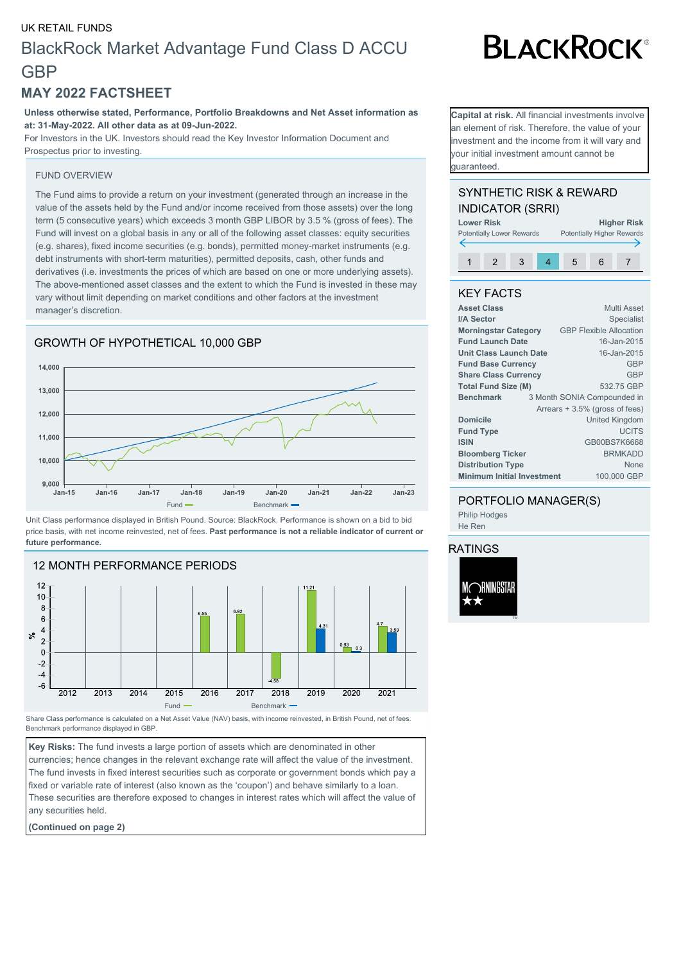## UK RETAIL FUNDS BlackRock Market Advantage Fund Class D ACCU **GBP**

### **MAY 2022 FACTSHEET**

**Unless otherwise stated, Performance, Portfolio Breakdowns and Net Asset information as at: 31-May-2022. All other data as at 09-Jun-2022.**

For Investors in the UK. Investors should read the Key Investor Information Document and Prospectus prior to investing.

#### FUND OVERVIEW

The Fund aims to provide a return on your investment (generated through an increase in the value of the assets held by the Fund and/or income received from those assets) over the long term (5 consecutive years) which exceeds 3 month GBP LIBOR by 3.5 % (gross of fees). The Fund will invest on a global basis in any or all of the following asset classes: equity securities (e.g. shares), fixed income securities (e.g. bonds), permitted money-market instruments (e.g. debt instruments with short-term maturities), permitted deposits, cash, other funds and derivatives (i.e. investments the prices of which are based on one or more underlying assets). The above-mentioned asset classes and the extent to which the Fund is invested in these may vary without limit depending on market conditions and other factors at the investment manager's discretion.





Unit Class performance displayed in British Pound. Source: BlackRock. Performance is shown on a bid to bid price basis, with net income reinvested, net of fees. **Past performance is not a reliable indicator of current or future performance.**



Share Class performance is calculated on a Net Asset Value (NAV) basis, with income reinvested, in British Pound, net of fees. Benchmark performance displayed in GBP.

**Key Risks:** The fund invests a large portion of assets which are denominated in other currencies; hence changes in the relevant exchange rate will affect the value of the investment. The fund invests in fixed interest securities such as corporate or government bonds which pay a fixed or variable rate of interest (also known as the 'coupon') and behave similarly to a loan. These securities are therefore exposed to changes in interest rates which will affect the value of any securities held.

**(Continued on page 2)**

**Capital at risk.** All financial investments involve an element of risk. Therefore, the value of your nvestment and the income from it will vary and your initial investment amount cannot be guaranteed.

**BLACKROCK®** 

#### SYNTHETIC RISK & REWARD INDICATOR (SRRI)



#### KEY FACTS

| Multi Asset                                      |
|--------------------------------------------------|
| <b>Specialist</b>                                |
| <b>GBP Flexible Allocation</b>                   |
| 16-Jan-2015                                      |
| 16-Jan-2015                                      |
| GBP                                              |
| <b>GBP</b>                                       |
| 532.75 GBP                                       |
| 3 Month SONIA Compounded in                      |
| Arrears + 3.5% (gross of fees)                   |
| <b>United Kingdom</b>                            |
| <b>UCITS</b>                                     |
| GB00BS7K6668                                     |
| <b>BRMKADD</b>                                   |
| <b>None</b>                                      |
| <b>Minimum Initial Investment</b><br>100,000 GBP |
|                                                  |

#### PORTFOLIO MANAGER(S) Philip Hodges

He Ren

#### RATINGS

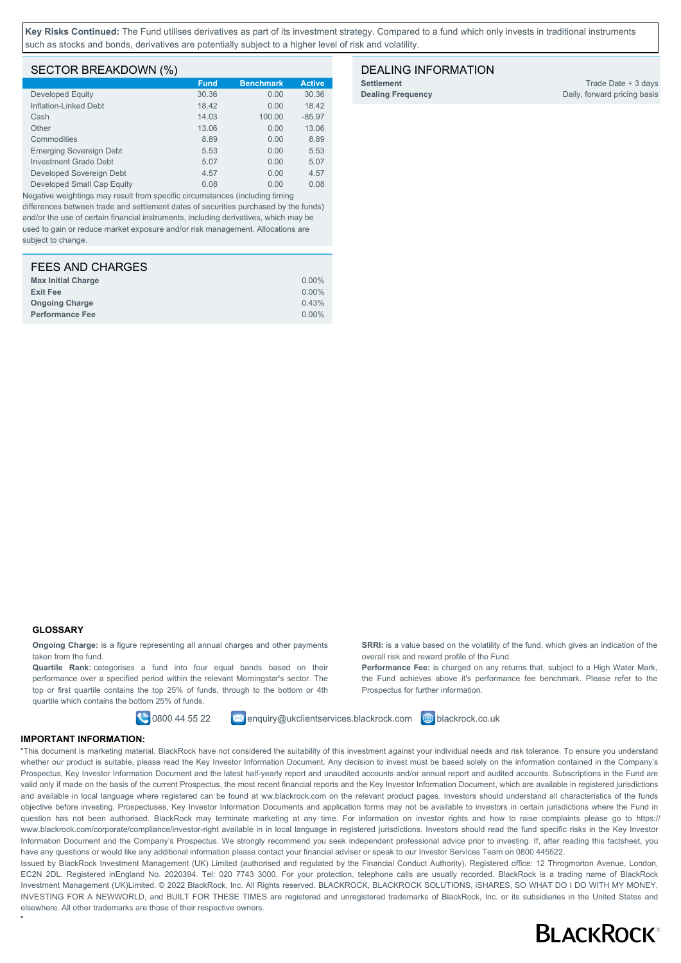**Key Risks Continued:** The Fund utilises derivatives as part of its investment strategy. Compared to a fund which only invests in traditional instruments such as stocks and bonds, derivatives are potentially subject to a higher level of risk and volatility.

#### SECTOR BREAKDOWN (%)

|                                | <b>Fund</b> | <b>Benchmark</b> | <b>Active</b> |
|--------------------------------|-------------|------------------|---------------|
| Developed Equity               | 30.36       | 0.00             | 30.36         |
| Inflation-Linked Debt          | 18.42       | 0.00             | 18.42         |
| Cash                           | 14.03       | 100.00           | $-85.97$      |
| Other                          | 13.06       | 0.00             | 13.06         |
| Commodities                    | 8.89        | 0.00             | 8.89          |
| <b>Emerging Sovereign Debt</b> | 5.53        | 0.00             | 5.53          |
| Investment Grade Debt          | 5.07        | 0.00             | 5.07          |
| Developed Sovereign Debt       | 4.57        | 0.00             | 4.57          |
| Developed Small Cap Equity     | 0.08        | 0.00             | 0.08          |

Negative weightings may result from specific circumstances (including timing differences between trade and settlement dates of securities purchased by the funds) and/or the use of certain financial instruments, including derivatives, which may be used to gain or reduce market exposure and/or risk management. Allocations are subject to change.

| $0.00\%$ |
|----------|
| $0.00\%$ |
| 0.43%    |
| $0.00\%$ |
|          |

#### DEALING INFORMATION

**Settlement** Trade Date + 3 days **Dealing Frequency** Daily, forward pricing basis

#### **GLOSSARY**

"

**Ongoing Charge:** is a figure representing all annual charges and other payments taken from the fund.

**Quartile Rank:** categorises a fund into four equal bands based on their performance over a specified period within the relevant Morningstar's sector. The top or first quartile contains the top 25% of funds, through to the bottom or 4th quartile which contains the bottom 25% of funds.

**0800 44 55 22 M** enquiry@ukclientservices.blackrock.com **+ blackrock.co.uk** 

overall risk and reward profile of the Fund.

Prospectus for further information.

**SRRI:** is a value based on the volatility of the fund, which gives an indication of the

**Performance Fee:** is charged on any returns that, subject to a High Water Mark, the Fund achieves above it's performance fee benchmark. Please refer to the

#### **IMPORTANT INFORMATION:**

"This document is marketing material. BlackRock have not considered the suitability of this investment against your individual needs and risk tolerance. To ensure you understand whether our product is suitable, please read the Key Investor Information Document. Any decision to invest must be based solely on the information contained in the Company's Prospectus, Key Investor Information Document and the latest half-yearly report and unaudited accounts and/or annual report and audited accounts. Subscriptions in the Fund are valid only if made on the basis of the current Prospectus, the most recent financial reports and the Key Investor Information Document, which are available in registered jurisdictions and available in local language where registered can be found at ww.blackrock.com on the relevant product pages. Investors should understand all characteristics of the funds objective before investing. Prospectuses, Key Investor Information Documents and application forms may not be available to investors in certain jurisdictions where the Fund in question has not been authorised. BlackRock may terminate marketing at any time. For information on investor rights and how to raise complaints please go to https:// www.blackrock.com/corporate/compliance/investor-right available in in local language in registered jurisdictions. Investors should read the fund specific risks in the Key Investor Information Document and the Company's Prospectus. We strongly recommend you seek independent professional advice prior to investing. If, after reading this factsheet, you have any questions or would like any additional information please contact your financial adviser or speak to our Investor Services Team on 0800 445522.

Issued by BlackRock Investment Management (UK) Limited (authorised and regulated by the Financial Conduct Authority). Registered office: 12 Throgmorton Avenue, London, EC2N 2DL. Registered inEngland No. 2020394. Tel: 020 7743 3000. For your protection, telephone calls are usually recorded. BlackRock is a trading name of BlackRock Investment Management (UK)Limited. © 2022 BlackRock, Inc. All Rights reserved. BLACKROCK, BLACKROCK SOLUTIONS, iSHARES, SO WHAT DO I DO WITH MY MONEY, INVESTING FOR A NEWWORLD, and BUILT FOR THESE TIMES are registered and unregistered trademarks of BlackRock, Inc. or its subsidiaries in the United States and elsewhere. All other trademarks are those of their respective owners.